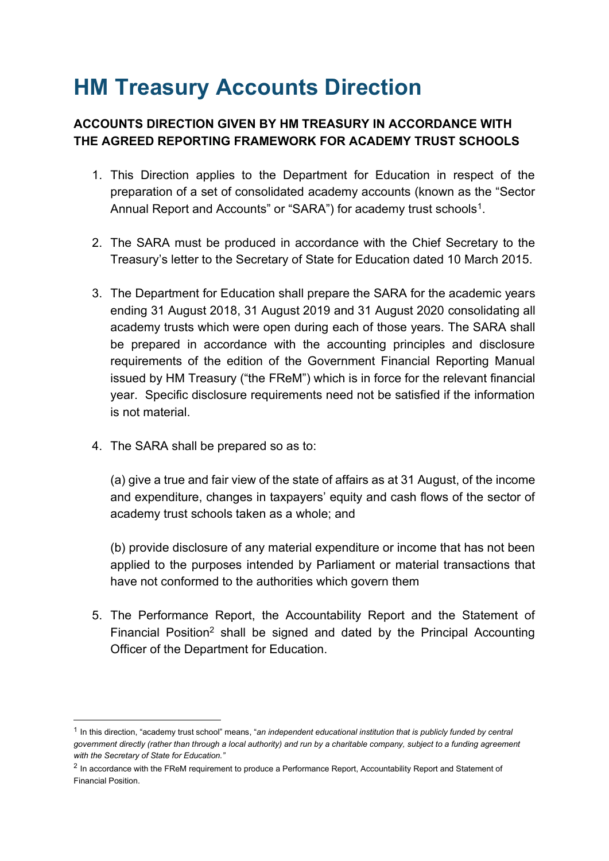## **HM Treasury Accounts Direction**

## **ACCOUNTS DIRECTION GIVEN BY HM TREASURY IN ACCORDANCE WITH THE AGREED REPORTING FRAMEWORK FOR ACADEMY TRUST SCHOOLS**

- 1. This Direction applies to the Department for Education in respect of the preparation of a set of consolidated academy accounts (known as the "Sector Annual Report and Accounts" or "SARA") for academy trust schools<sup>1</sup>.
- 2. The SARA must be produced in accordance with the Chief Secretary to the Treasury's letter to the Secretary of State for Education dated 10 March 2015.
- 3. The Department for Education shall prepare the SARA for the academic years ending 31 August 2018, 31 August 2019 and 31 August 2020 consolidating all academy trusts which were open during each of those years. The SARA shall be prepared in accordance with the accounting principles and disclosure requirements of the edition of the Government Financial Reporting Manual year. Specific disclosure requirements need not be satisfied if the information issued by HM Treasury ("the FReM") which is in force for the relevant financial is not material.
- 4. The SARA shall be prepared so as to:

 (a) give a true and fair view of the state of affairs as at 31 August, of the income and expenditure, changes in taxpayers' equity and cash flows of the sector of academy trust schools taken as a whole; and

 applied to the purposes intended by Parliament or material transactions that have not conformed to the authorities which govern them (b) provide disclosure of any material expenditure or income that has not been

 5. The Performance Report, the Accountability Report and the Statement of Financial Position<sup>2</sup> shall be signed and dated by the Principal Accounting Officer of the Department for Education.

 1 In this direction, "academy trust school" means, "*an independent educational institution that is publicly funded by central government directly (rather than through a local authority) and run by a charitable company, subject to a funding agreement with the Secretary of State for Education."*

 $2$  In accordance with the FReM requirement to produce a Performance Report, Accountability Report and Statement of Financial Position.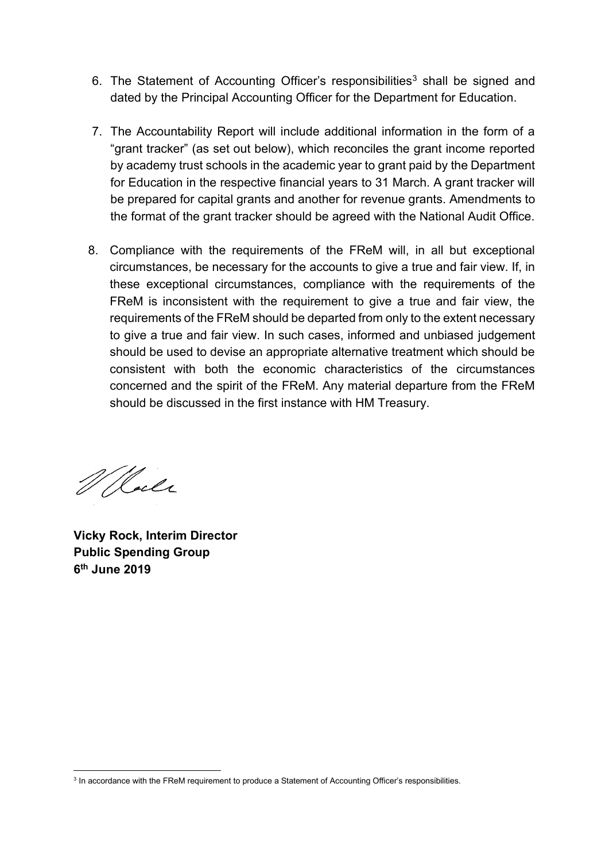- 6. The Statement of Accounting Officer's responsibilities<sup>3</sup> shall be signed and dated by the Principal Accounting Officer for the Department for Education.
- 7. The Accountability Report will include additional information in the form of a "grant tracker" (as set out below), which reconciles the grant income reported by academy trust schools in the academic year to grant paid by the Department for Education in the respective financial years to 31 March. A grant tracker will be prepared for capital grants and another for revenue grants. Amendments to the format of the grant tracker should be agreed with the National Audit Office.
- 8. Compliance with the requirements of the FReM will, in all but exceptional circumstances, be necessary for the accounts to give a true and fair view. If, in these exceptional circumstances, compliance with the requirements of the FReM is inconsistent with the requirement to give a true and fair view, the requirements of the FReM should be departed from only to the extent necessary to give a true and fair view. In such cases, informed and unbiased judgement consistent with both the economic characteristics of the circumstances concerned and the spirit of the FReM. Any material departure from the FReM should be used to devise an appropriate alternative treatment which should be should be discussed in the first instance with HM Treasury.

W Rocke

**Vicky Rock, Interim Director Public Spending Group 6th June 2019** 

 $3$  In accordance with the FReM requirement to produce a Statement of Accounting Officer's responsibilities.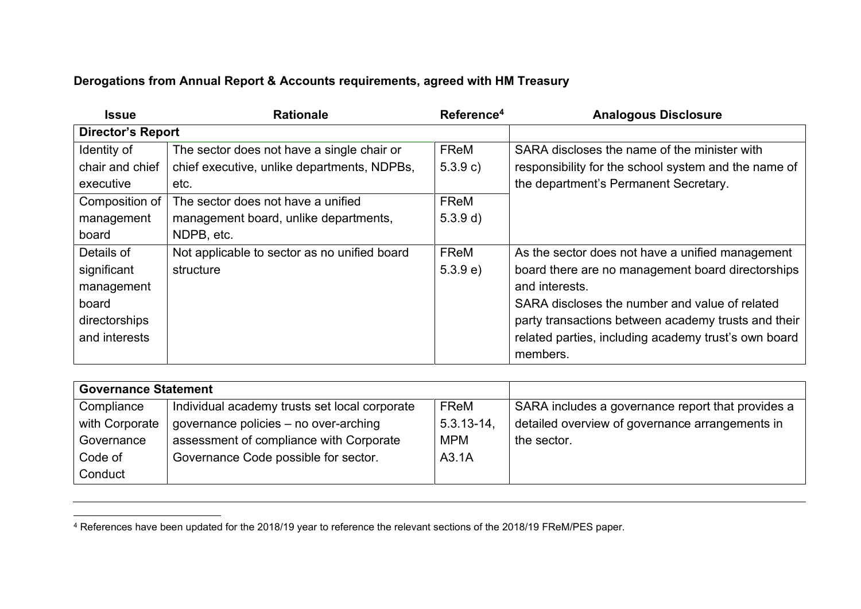## **Derogations from Annual Report & Accounts requirements, agreed with HM Treasury**

| <b>Issue</b>             | <b>Rationale</b>                             | Reference <sup>4</sup> | <b>Analogous Disclosure</b>                          |
|--------------------------|----------------------------------------------|------------------------|------------------------------------------------------|
| <b>Director's Report</b> |                                              |                        |                                                      |
| Identity of              | The sector does not have a single chair or   | <b>FReM</b>            | SARA discloses the name of the minister with         |
| chair and chief          | chief executive, unlike departments, NDPBs,  | 5.3.9 c)               | responsibility for the school system and the name of |
| executive                | etc.                                         |                        | the department's Permanent Secretary.                |
| Composition of           | The sector does not have a unified           | <b>FReM</b>            |                                                      |
| management               | management board, unlike departments,        | 5.3.9 d)               |                                                      |
| board                    | NDPB, etc.                                   |                        |                                                      |
| Details of               | Not applicable to sector as no unified board | FReM                   | As the sector does not have a unified management     |
| significant              | structure                                    | 5.3.9 e)               | board there are no management board directorships    |
| management               |                                              |                        | and interests.                                       |
| board                    |                                              |                        | SARA discloses the number and value of related       |
| directorships            |                                              |                        | party transactions between academy trusts and their  |
| and interests            |                                              |                        | related parties, including academy trust's own board |
|                          |                                              |                        | members.                                             |

| <b>Governance Statement</b> |                                               |                 |                                                   |
|-----------------------------|-----------------------------------------------|-----------------|---------------------------------------------------|
| Compliance                  | Individual academy trusts set local corporate | FReM            | SARA includes a governance report that provides a |
| with Corporate              | governance policies – no over-arching         | $5.3.13 - 14$ , | detailed overview of governance arrangements in   |
| Governance                  | assessment of compliance with Corporate       | <b>MPM</b>      | the sector.                                       |
| Code of                     | Governance Code possible for sector.          | A3.1A           |                                                   |
| Conduct                     |                                               |                 |                                                   |

<sup>4</sup> References have been updated for the 2018/19 year to reference the relevant sections of the 2018/19 FReM/PES paper.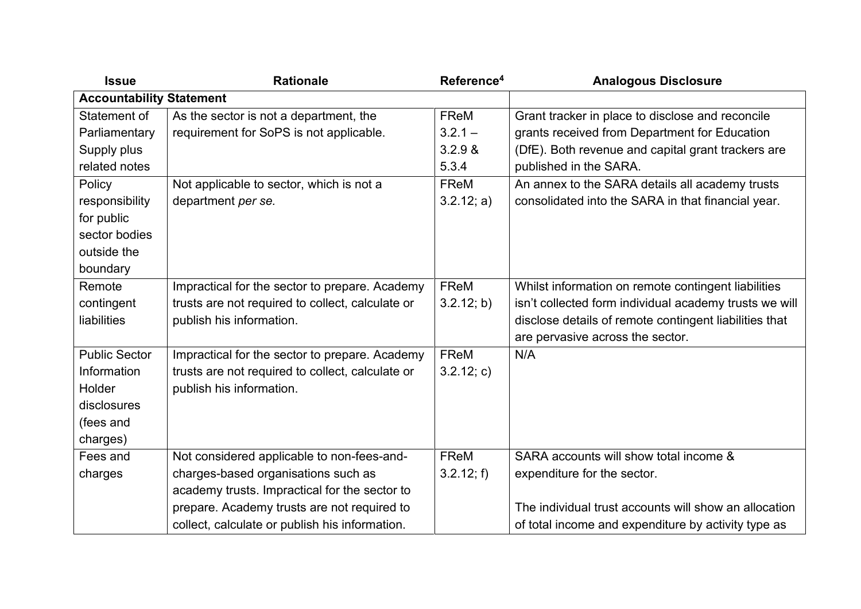| <b>Issue</b>                    | <b>Rationale</b>                                 | Reference <sup>4</sup> | <b>Analogous Disclosure</b>                            |
|---------------------------------|--------------------------------------------------|------------------------|--------------------------------------------------------|
| <b>Accountability Statement</b> |                                                  |                        |                                                        |
| Statement of                    | As the sector is not a department, the           | <b>FReM</b>            | Grant tracker in place to disclose and reconcile       |
| Parliamentary                   | requirement for SoPS is not applicable.          | $3.2.1 -$              | grants received from Department for Education          |
| Supply plus                     |                                                  | 3.2.9 &                | (DfE). Both revenue and capital grant trackers are     |
| related notes                   |                                                  | 5.3.4                  | published in the SARA.                                 |
| Policy                          | Not applicable to sector, which is not a         | FReM                   | An annex to the SARA details all academy trusts        |
| responsibility                  | department per se.                               | 3.2.12; a)             | consolidated into the SARA in that financial year.     |
| for public                      |                                                  |                        |                                                        |
| sector bodies                   |                                                  |                        |                                                        |
| outside the                     |                                                  |                        |                                                        |
| boundary                        |                                                  |                        |                                                        |
| Remote                          | Impractical for the sector to prepare. Academy   | FReM                   | Whilst information on remote contingent liabilities    |
| contingent                      | trusts are not required to collect, calculate or | 3.2.12; b)             | isn't collected form individual academy trusts we will |
| liabilities                     | publish his information.                         |                        | disclose details of remote contingent liabilities that |
|                                 |                                                  |                        | are pervasive across the sector.                       |
| <b>Public Sector</b>            | Impractical for the sector to prepare. Academy   | FReM                   | N/A                                                    |
| Information                     | trusts are not required to collect, calculate or | 3.2.12; c)             |                                                        |
| Holder                          | publish his information.                         |                        |                                                        |
| disclosures                     |                                                  |                        |                                                        |
| (fees and                       |                                                  |                        |                                                        |
| charges)                        |                                                  |                        |                                                        |
| Fees and                        | Not considered applicable to non-fees-and-       | <b>FReM</b>            | SARA accounts will show total income &                 |
| charges                         | charges-based organisations such as              | 3.2.12; f              | expenditure for the sector.                            |
|                                 | academy trusts. Impractical for the sector to    |                        |                                                        |
|                                 | prepare. Academy trusts are not required to      |                        | The individual trust accounts will show an allocation  |
|                                 | collect, calculate or publish his information.   |                        | of total income and expenditure by activity type as    |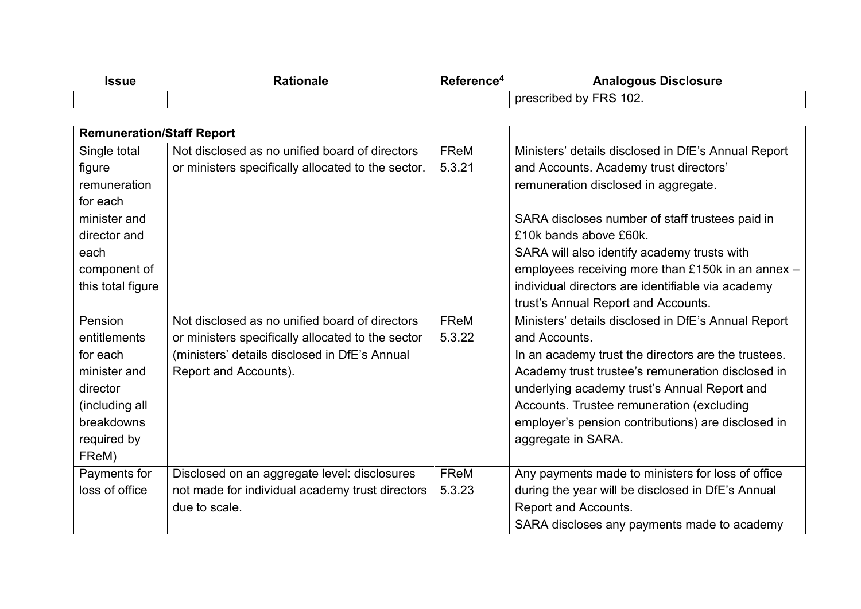| Issue | Rationale | Reference <del>ª</del> | <b>Analogous Disclosure</b> |
|-------|-----------|------------------------|-----------------------------|
|       |           |                        | 102.<br>prescribed by FRS   |

| <b>Remuneration/Staff Report</b> |                                                    |             |                                                     |
|----------------------------------|----------------------------------------------------|-------------|-----------------------------------------------------|
| Single total                     | Not disclosed as no unified board of directors     | <b>FReM</b> | Ministers' details disclosed in DfE's Annual Report |
| figure                           | or ministers specifically allocated to the sector. | 5.3.21      | and Accounts. Academy trust directors'              |
| remuneration                     |                                                    |             | remuneration disclosed in aggregate.                |
| for each                         |                                                    |             |                                                     |
| minister and                     |                                                    |             | SARA discloses number of staff trustees paid in     |
| director and                     |                                                    |             | £10k bands above £60k.                              |
| each                             |                                                    |             | SARA will also identify academy trusts with         |
| component of                     |                                                    |             | employees receiving more than £150k in an annex -   |
| this total figure                |                                                    |             | individual directors are identifiable via academy   |
|                                  |                                                    |             | trust's Annual Report and Accounts.                 |
| Pension                          | Not disclosed as no unified board of directors     | FReM        | Ministers' details disclosed in DfE's Annual Report |
| entitlements                     | or ministers specifically allocated to the sector  | 5.3.22      | and Accounts.                                       |
| for each                         | (ministers' details disclosed in DfE's Annual      |             | In an academy trust the directors are the trustees. |
| minister and                     | Report and Accounts).                              |             | Academy trust trustee's remuneration disclosed in   |
| director                         |                                                    |             | underlying academy trust's Annual Report and        |
| (including all                   |                                                    |             | Accounts. Trustee remuneration (excluding           |
| breakdowns                       |                                                    |             | employer's pension contributions) are disclosed in  |
| required by                      |                                                    |             | aggregate in SARA.                                  |
| FReM)                            |                                                    |             |                                                     |
| Payments for                     | Disclosed on an aggregate level: disclosures       | FReM        | Any payments made to ministers for loss of office   |
| loss of office                   | not made for individual academy trust directors    | 5.3.23      | during the year will be disclosed in DfE's Annual   |
|                                  | due to scale.                                      |             | Report and Accounts.                                |
|                                  |                                                    |             | SARA discloses any payments made to academy         |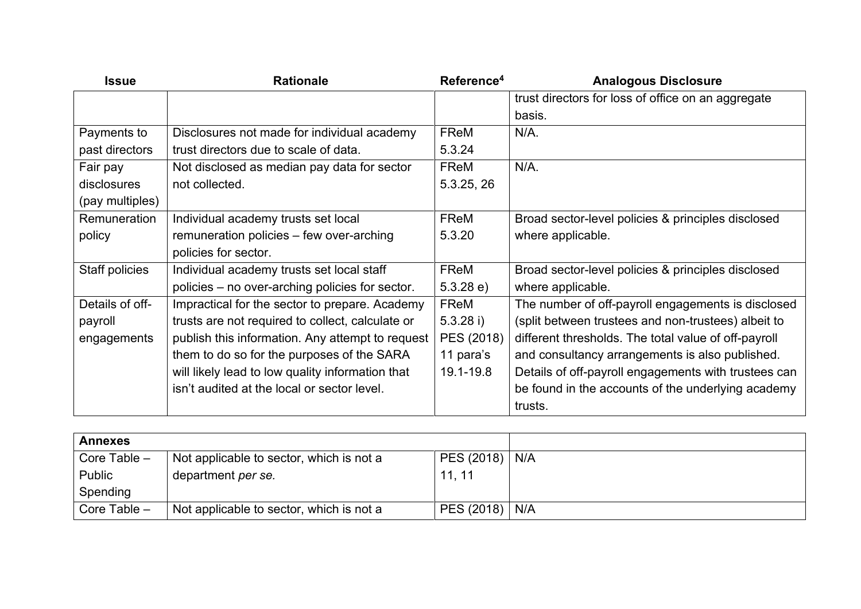| <b>Issue</b>        | <b>Rationale</b>                                 | Reference <sup>4</sup> | <b>Analogous Disclosure</b>                          |
|---------------------|--------------------------------------------------|------------------------|------------------------------------------------------|
|                     |                                                  |                        | trust directors for loss of office on an aggregate   |
|                     |                                                  |                        | basis.                                               |
| Payments to         | Disclosures not made for individual academy      | <b>FReM</b>            | $N/A$ .                                              |
| past directors      | trust directors due to scale of data.            | 5.3.24                 |                                                      |
| Fair pay            | Not disclosed as median pay data for sector      | <b>FReM</b>            | $N/A$ .                                              |
| disclosures         | not collected.                                   | 5.3.25, 26             |                                                      |
| (pay multiples)     |                                                  |                        |                                                      |
| <b>Remuneration</b> | Individual academy trusts set local              | FReM                   | Broad sector-level policies & principles disclosed   |
| policy              | remuneration policies - few over-arching         | 5.3.20                 | where applicable.                                    |
|                     | policies for sector.                             |                        |                                                      |
| Staff policies      | Individual academy trusts set local staff        | <b>FReM</b>            | Broad sector-level policies & principles disclosed   |
|                     | policies – no over-arching policies for sector.  | 5.3.28 e)              | where applicable.                                    |
| Details of off-     | Impractical for the sector to prepare. Academy   | FReM                   | The number of off-payroll engagements is disclosed   |
| payroll             | trusts are not required to collect, calculate or | $5.3.28$ i)            | (split between trustees and non-trustees) albeit to  |
| engagements         | publish this information. Any attempt to request | PES (2018)             | different thresholds. The total value of off-payroll |
|                     | them to do so for the purposes of the SARA       | 11 para's              | and consultancy arrangements is also published.      |
|                     | will likely lead to low quality information that | 19.1-19.8              | Details of off-payroll engagements with trustees can |
|                     | isn't audited at the local or sector level.      |                        | be found in the accounts of the underlying academy   |
|                     |                                                  |                        | trusts.                                              |

| <b>Annexes</b> |                                          |                  |  |
|----------------|------------------------------------------|------------------|--|
| Core Table -   | Not applicable to sector, which is not a | $PES (2018)$ N/A |  |
| Public         | department <i>per se.</i>                | 11, 11           |  |
| Spending       |                                          |                  |  |
| Core Table $-$ | Not applicable to sector, which is not a | PES (2018)   N/A |  |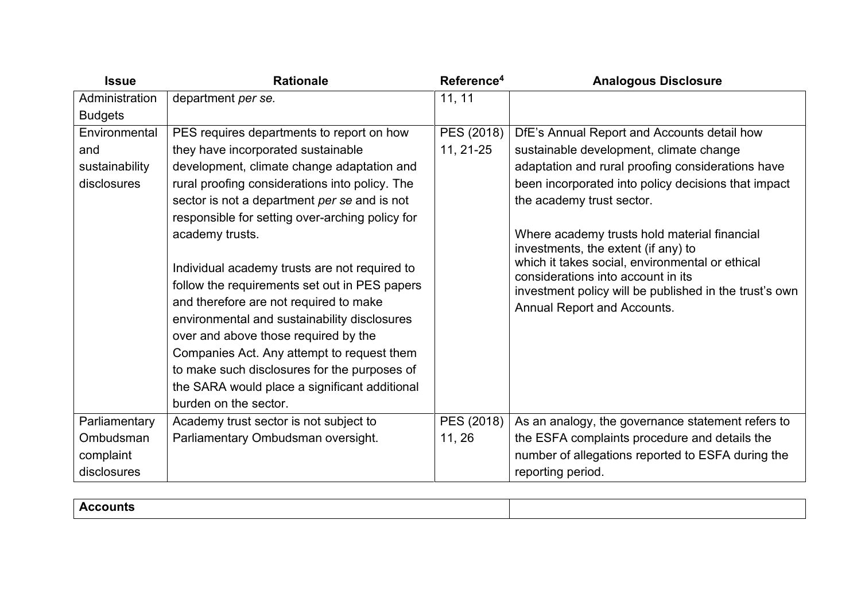| <b>Issue</b>   | <b>Rationale</b>                                | Reference <sup>4</sup> | <b>Analogous Disclosure</b>                                                            |
|----------------|-------------------------------------------------|------------------------|----------------------------------------------------------------------------------------|
| Administration | department per se.                              | 11, 11                 |                                                                                        |
| <b>Budgets</b> |                                                 |                        |                                                                                        |
| Environmental  | PES requires departments to report on how       | PES (2018)             | DfE's Annual Report and Accounts detail how                                            |
| and            | they have incorporated sustainable              | 11, 21-25              | sustainable development, climate change                                                |
| sustainability | development, climate change adaptation and      |                        | adaptation and rural proofing considerations have                                      |
| disclosures    | rural proofing considerations into policy. The  |                        | been incorporated into policy decisions that impact                                    |
|                | sector is not a department per se and is not    |                        | the academy trust sector.                                                              |
|                | responsible for setting over-arching policy for |                        |                                                                                        |
|                | academy trusts.                                 |                        | Where academy trusts hold material financial                                           |
|                |                                                 |                        | investments, the extent (if any) to<br>which it takes social, environmental or ethical |
|                | Individual academy trusts are not required to   |                        | considerations into account in its                                                     |
|                | follow the requirements set out in PES papers   |                        | investment policy will be published in the trust's own                                 |
|                | and therefore are not required to make          |                        | Annual Report and Accounts.                                                            |
|                | environmental and sustainability disclosures    |                        |                                                                                        |
|                | over and above those required by the            |                        |                                                                                        |
|                | Companies Act. Any attempt to request them      |                        |                                                                                        |
|                | to make such disclosures for the purposes of    |                        |                                                                                        |
|                | the SARA would place a significant additional   |                        |                                                                                        |
|                | burden on the sector.                           |                        |                                                                                        |
| Parliamentary  | Academy trust sector is not subject to          | PES (2018)             | As an analogy, the governance statement refers to                                      |
| Ombudsman      | Parliamentary Ombudsman oversight.              | 11, 26                 | the ESFA complaints procedure and details the                                          |
| complaint      |                                                 |                        | number of allegations reported to ESFA during the                                      |
| disclosures    |                                                 |                        | reporting period.                                                                      |

| д с<br>ounts : |  |
|----------------|--|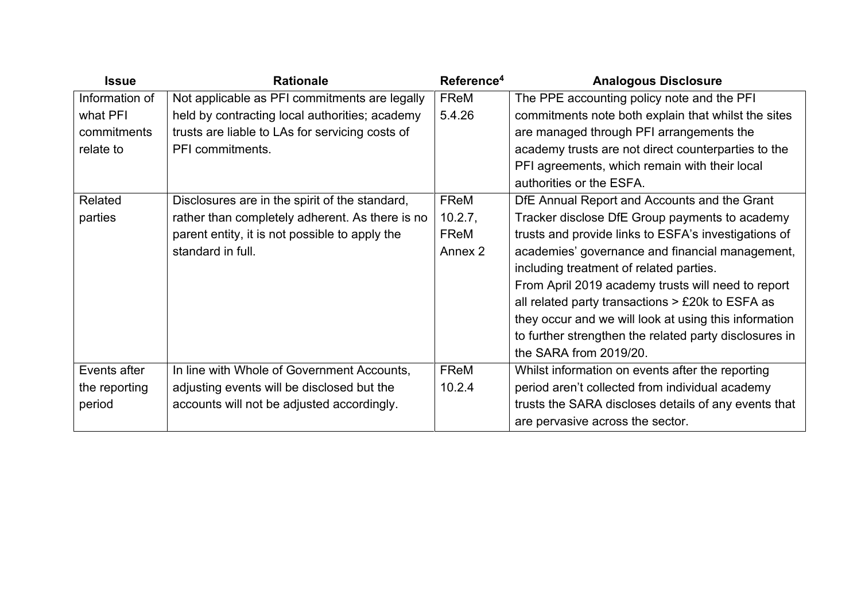| <b>Issue</b>   | <b>Rationale</b>                                | Reference <sup>4</sup> | <b>Analogous Disclosure</b>                            |
|----------------|-------------------------------------------------|------------------------|--------------------------------------------------------|
| Information of | Not applicable as PFI commitments are legally   | FReM                   | The PPE accounting policy note and the PFI             |
| what PFI       | held by contracting local authorities; academy  | 5.4.26                 | commitments note both explain that whilst the sites    |
| commitments    | trusts are liable to LAs for servicing costs of |                        | are managed through PFI arrangements the               |
| relate to      | PFI commitments.                                |                        | academy trusts are not direct counterparties to the    |
|                |                                                 |                        | PFI agreements, which remain with their local          |
|                |                                                 |                        | authorities or the ESFA.                               |
| Related        | Disclosures are in the spirit of the standard,  | FReM                   | DfE Annual Report and Accounts and the Grant           |
| parties        | rather than completely adherent. As there is no | 10.2.7,                | Tracker disclose DfE Group payments to academy         |
|                | parent entity, it is not possible to apply the  | FReM                   | trusts and provide links to ESFA's investigations of   |
|                | standard in full.                               | Annex 2                | academies' governance and financial management,        |
|                |                                                 |                        | including treatment of related parties.                |
|                |                                                 |                        | From April 2019 academy trusts will need to report     |
|                |                                                 |                        | all related party transactions $>$ £20 $k$ to ESFA as  |
|                |                                                 |                        | they occur and we will look at using this information  |
|                |                                                 |                        | to further strengthen the related party disclosures in |
|                |                                                 |                        | the SARA from 2019/20.                                 |
| Events after   | In line with Whole of Government Accounts,      | FReM                   | Whilst information on events after the reporting       |
| the reporting  | adjusting events will be disclosed but the      | 10.2.4                 | period aren't collected from individual academy        |
| period         | accounts will not be adjusted accordingly.      |                        | trusts the SARA discloses details of any events that   |
|                |                                                 |                        | are pervasive across the sector.                       |